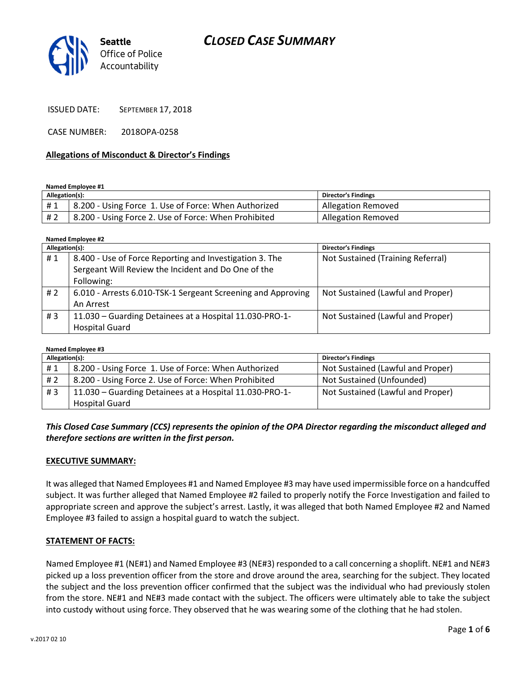

ISSUED DATE: SEPTEMBER 17, 2018

CASE NUMBER: 2018OPA-0258

#### Allegations of Misconduct & Director's Findings

Named Employee #1

| Allegation(s): |                                                      | <b>Director's Findings</b> |
|----------------|------------------------------------------------------|----------------------------|
| #1             | 8.200 - Using Force 1. Use of Force: When Authorized | <b>Allegation Removed</b>  |
| # 2            | 8.200 - Using Force 2. Use of Force: When Prohibited | <b>Allegation Removed</b>  |

Named Employee #2

| Allegation(s): |                                                              | <b>Director's Findings</b>        |
|----------------|--------------------------------------------------------------|-----------------------------------|
| #1             | 8.400 - Use of Force Reporting and Investigation 3. The      | Not Sustained (Training Referral) |
|                | Sergeant Will Review the Incident and Do One of the          |                                   |
|                | Following:                                                   |                                   |
| #2             | 6.010 - Arrests 6.010-TSK-1 Sergeant Screening and Approving | Not Sustained (Lawful and Proper) |
|                | An Arrest                                                    |                                   |
| #3             | 11.030 - Guarding Detainees at a Hospital 11.030-PRO-1-      | Not Sustained (Lawful and Proper) |
|                | <b>Hospital Guard</b>                                        |                                   |

| Named Employee #3 |                                                         |                                   |  |  |
|-------------------|---------------------------------------------------------|-----------------------------------|--|--|
| Allegation(s):    |                                                         | <b>Director's Findings</b>        |  |  |
| #1                | 8.200 - Using Force 1. Use of Force: When Authorized    | Not Sustained (Lawful and Proper) |  |  |
| # 2               | 8.200 - Using Force 2. Use of Force: When Prohibited    | Not Sustained (Unfounded)         |  |  |
| #3                | 11.030 - Guarding Detainees at a Hospital 11.030-PRO-1- | Not Sustained (Lawful and Proper) |  |  |
|                   | <b>Hospital Guard</b>                                   |                                   |  |  |

This Closed Case Summary (CCS) represents the opinion of the OPA Director regarding the misconduct alleged and therefore sections are written in the first person.

### EXECUTIVE SUMMARY:

It was alleged that Named Employees #1 and Named Employee #3 may have used impermissible force on a handcuffed subject. It was further alleged that Named Employee #2 failed to properly notify the Force Investigation and failed to appropriate screen and approve the subject's arrest. Lastly, it was alleged that both Named Employee #2 and Named Employee #3 failed to assign a hospital guard to watch the subject.

### STATEMENT OF FACTS:

Named Employee #1 (NE#1) and Named Employee #3 (NE#3) responded to a call concerning a shoplift. NE#1 and NE#3 picked up a loss prevention officer from the store and drove around the area, searching for the subject. They located the subject and the loss prevention officer confirmed that the subject was the individual who had previously stolen from the store. NE#1 and NE#3 made contact with the subject. The officers were ultimately able to take the subject into custody without using force. They observed that he was wearing some of the clothing that he had stolen.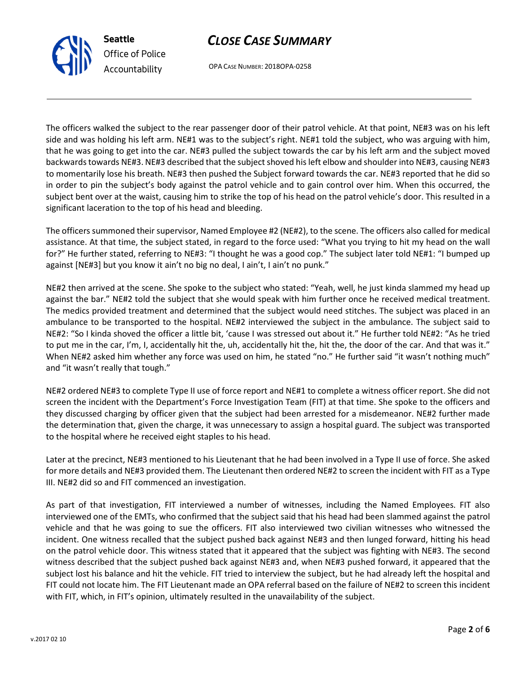OPA CASE NUMBER: 2018OPA-0258

The officers walked the subject to the rear passenger door of their patrol vehicle. At that point, NE#3 was on his left side and was holding his left arm. NE#1 was to the subject's right. NE#1 told the subject, who was arguing with him, that he was going to get into the car. NE#3 pulled the subject towards the car by his left arm and the subject moved backwards towards NE#3. NE#3 described that the subject shoved his left elbow and shoulder into NE#3, causing NE#3 to momentarily lose his breath. NE#3 then pushed the Subject forward towards the car. NE#3 reported that he did so in order to pin the subject's body against the patrol vehicle and to gain control over him. When this occurred, the subject bent over at the waist, causing him to strike the top of his head on the patrol vehicle's door. This resulted in a significant laceration to the top of his head and bleeding.

The officers summoned their supervisor, Named Employee #2 (NE#2), to the scene. The officers also called for medical assistance. At that time, the subject stated, in regard to the force used: "What you trying to hit my head on the wall for?" He further stated, referring to NE#3: "I thought he was a good cop." The subject later told NE#1: "I bumped up against [NE#3] but you know it ain't no big no deal, I ain't, I ain't no punk."

NE#2 then arrived at the scene. She spoke to the subject who stated: "Yeah, well, he just kinda slammed my head up against the bar." NE#2 told the subject that she would speak with him further once he received medical treatment. The medics provided treatment and determined that the subject would need stitches. The subject was placed in an ambulance to be transported to the hospital. NE#2 interviewed the subject in the ambulance. The subject said to NE#2: "So I kinda shoved the officer a little bit, 'cause I was stressed out about it." He further told NE#2: "As he tried to put me in the car, I'm, I, accidentally hit the, uh, accidentally hit the, hit the, the door of the car. And that was it." When NE#2 asked him whether any force was used on him, he stated "no." He further said "it wasn't nothing much" and "it wasn't really that tough."

NE#2 ordered NE#3 to complete Type II use of force report and NE#1 to complete a witness officer report. She did not screen the incident with the Department's Force Investigation Team (FIT) at that time. She spoke to the officers and they discussed charging by officer given that the subject had been arrested for a misdemeanor. NE#2 further made the determination that, given the charge, it was unnecessary to assign a hospital guard. The subject was transported to the hospital where he received eight staples to his head.

Later at the precinct, NE#3 mentioned to his Lieutenant that he had been involved in a Type II use of force. She asked for more details and NE#3 provided them. The Lieutenant then ordered NE#2 to screen the incident with FIT as a Type III. NE#2 did so and FIT commenced an investigation.

As part of that investigation, FIT interviewed a number of witnesses, including the Named Employees. FIT also interviewed one of the EMTs, who confirmed that the subject said that his head had been slammed against the patrol vehicle and that he was going to sue the officers. FIT also interviewed two civilian witnesses who witnessed the incident. One witness recalled that the subject pushed back against NE#3 and then lunged forward, hitting his head on the patrol vehicle door. This witness stated that it appeared that the subject was fighting with NE#3. The second witness described that the subject pushed back against NE#3 and, when NE#3 pushed forward, it appeared that the subject lost his balance and hit the vehicle. FIT tried to interview the subject, but he had already left the hospital and FIT could not locate him. The FIT Lieutenant made an OPA referral based on the failure of NE#2 to screen this incident with FIT, which, in FIT's opinion, ultimately resulted in the unavailability of the subject.



Seattle

Office of Police Accountability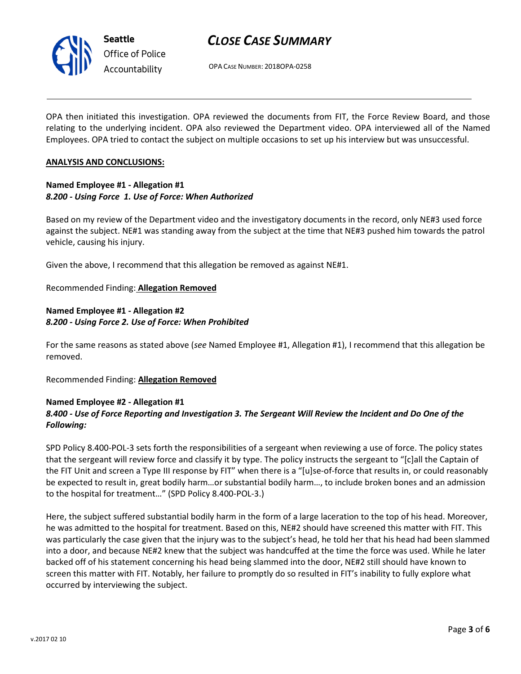

OPA CASE NUMBER: 2018OPA-0258

OPA then initiated this investigation. OPA reviewed the documents from FIT, the Force Review Board, and those relating to the underlying incident. OPA also reviewed the Department video. OPA interviewed all of the Named Employees. OPA tried to contact the subject on multiple occasions to set up his interview but was unsuccessful.

### ANALYSIS AND CONCLUSIONS:

### Named Employee #1 - Allegation #1 8.200 - Using Force 1. Use of Force: When Authorized

Based on my review of the Department video and the investigatory documents in the record, only NE#3 used force against the subject. NE#1 was standing away from the subject at the time that NE#3 pushed him towards the patrol vehicle, causing his injury.

Given the above, I recommend that this allegation be removed as against NE#1.

### Recommended Finding: Allegation Removed

## Named Employee #1 - Allegation #2 8.200 - Using Force 2. Use of Force: When Prohibited

For the same reasons as stated above (see Named Employee #1, Allegation #1), I recommend that this allegation be removed.

Recommended Finding: Allegation Removed

## Named Employee #2 - Allegation #1 8.400 - Use of Force Reporting and Investigation 3. The Sergeant Will Review the Incident and Do One of the Following:

SPD Policy 8.400-POL-3 sets forth the responsibilities of a sergeant when reviewing a use of force. The policy states that the sergeant will review force and classify it by type. The policy instructs the sergeant to "[c]all the Captain of the FIT Unit and screen a Type III response by FIT" when there is a "[u]se-of-force that results in, or could reasonably be expected to result in, great bodily harm…or substantial bodily harm…, to include broken bones and an admission to the hospital for treatment…" (SPD Policy 8.400-POL-3.)

Here, the subject suffered substantial bodily harm in the form of a large laceration to the top of his head. Moreover, he was admitted to the hospital for treatment. Based on this, NE#2 should have screened this matter with FIT. This was particularly the case given that the injury was to the subject's head, he told her that his head had been slammed into a door, and because NE#2 knew that the subject was handcuffed at the time the force was used. While he later backed off of his statement concerning his head being slammed into the door, NE#2 still should have known to screen this matter with FIT. Notably, her failure to promptly do so resulted in FIT's inability to fully explore what occurred by interviewing the subject.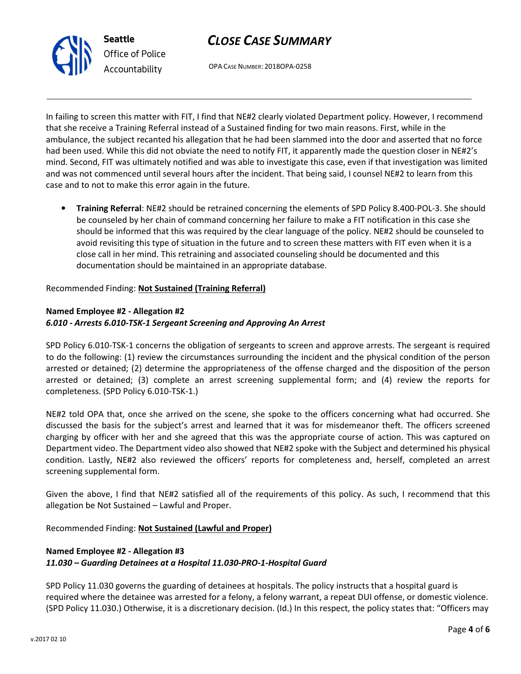



OPA CASE NUMBER: 2018OPA-0258

In failing to screen this matter with FIT, I find that NE#2 clearly violated Department policy. However, I recommend that she receive a Training Referral instead of a Sustained finding for two main reasons. First, while in the ambulance, the subject recanted his allegation that he had been slammed into the door and asserted that no force had been used. While this did not obviate the need to notify FIT, it apparently made the question closer in NE#2's mind. Second, FIT was ultimately notified and was able to investigate this case, even if that investigation was limited and was not commenced until several hours after the incident. That being said, I counsel NE#2 to learn from this case and to not to make this error again in the future.

• Training Referral: NE#2 should be retrained concerning the elements of SPD Policy 8.400-POL-3. She should be counseled by her chain of command concerning her failure to make a FIT notification in this case she should be informed that this was required by the clear language of the policy. NE#2 should be counseled to avoid revisiting this type of situation in the future and to screen these matters with FIT even when it is a close call in her mind. This retraining and associated counseling should be documented and this documentation should be maintained in an appropriate database.

Recommended Finding: Not Sustained (Training Referral)

# Named Employee #2 - Allegation #2 6.010 - Arrests 6.010-TSK-1 Sergeant Screening and Approving An Arrest

SPD Policy 6.010-TSK-1 concerns the obligation of sergeants to screen and approve arrests. The sergeant is required to do the following: (1) review the circumstances surrounding the incident and the physical condition of the person arrested or detained; (2) determine the appropriateness of the offense charged and the disposition of the person arrested or detained; (3) complete an arrest screening supplemental form; and (4) review the reports for completeness. (SPD Policy 6.010-TSK-1.)

NE#2 told OPA that, once she arrived on the scene, she spoke to the officers concerning what had occurred. She discussed the basis for the subject's arrest and learned that it was for misdemeanor theft. The officers screened charging by officer with her and she agreed that this was the appropriate course of action. This was captured on Department video. The Department video also showed that NE#2 spoke with the Subject and determined his physical condition. Lastly, NE#2 also reviewed the officers' reports for completeness and, herself, completed an arrest screening supplemental form.

Given the above, I find that NE#2 satisfied all of the requirements of this policy. As such, I recommend that this allegation be Not Sustained – Lawful and Proper.

Recommended Finding: Not Sustained (Lawful and Proper)

# Named Employee #2 - Allegation #3

11.030 – Guarding Detainees at a Hospital 11.030-PRO-1-Hospital Guard

SPD Policy 11.030 governs the guarding of detainees at hospitals. The policy instructs that a hospital guard is required where the detainee was arrested for a felony, a felony warrant, a repeat DUI offense, or domestic violence. (SPD Policy 11.030.) Otherwise, it is a discretionary decision. (Id.) In this respect, the policy states that: "Officers may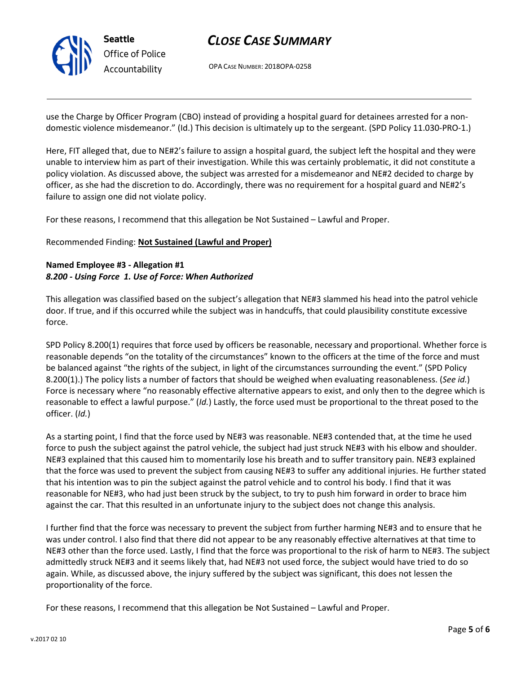

OPA CASE NUMBER: 2018OPA-0258

use the Charge by Officer Program (CBO) instead of providing a hospital guard for detainees arrested for a nondomestic violence misdemeanor." (Id.) This decision is ultimately up to the sergeant. (SPD Policy 11.030-PRO-1.)

Here, FIT alleged that, due to NE#2's failure to assign a hospital guard, the subject left the hospital and they were unable to interview him as part of their investigation. While this was certainly problematic, it did not constitute a policy violation. As discussed above, the subject was arrested for a misdemeanor and NE#2 decided to charge by officer, as she had the discretion to do. Accordingly, there was no requirement for a hospital guard and NE#2's failure to assign one did not violate policy.

For these reasons, I recommend that this allegation be Not Sustained – Lawful and Proper.

## Recommended Finding: Not Sustained (Lawful and Proper)

## Named Employee #3 - Allegation #1 8.200 - Using Force 1. Use of Force: When Authorized

This allegation was classified based on the subject's allegation that NE#3 slammed his head into the patrol vehicle door. If true, and if this occurred while the subject was in handcuffs, that could plausibility constitute excessive force.

SPD Policy 8.200(1) requires that force used by officers be reasonable, necessary and proportional. Whether force is reasonable depends "on the totality of the circumstances" known to the officers at the time of the force and must be balanced against "the rights of the subject, in light of the circumstances surrounding the event." (SPD Policy 8.200(1).) The policy lists a number of factors that should be weighed when evaluating reasonableness. (See id.) Force is necessary where "no reasonably effective alternative appears to exist, and only then to the degree which is reasonable to effect a lawful purpose." (Id.) Lastly, the force used must be proportional to the threat posed to the officer. (Id.)

As a starting point, I find that the force used by NE#3 was reasonable. NE#3 contended that, at the time he used force to push the subject against the patrol vehicle, the subject had just struck NE#3 with his elbow and shoulder. NE#3 explained that this caused him to momentarily lose his breath and to suffer transitory pain. NE#3 explained that the force was used to prevent the subject from causing NE#3 to suffer any additional injuries. He further stated that his intention was to pin the subject against the patrol vehicle and to control his body. I find that it was reasonable for NE#3, who had just been struck by the subject, to try to push him forward in order to brace him against the car. That this resulted in an unfortunate injury to the subject does not change this analysis.

I further find that the force was necessary to prevent the subject from further harming NE#3 and to ensure that he was under control. I also find that there did not appear to be any reasonably effective alternatives at that time to NE#3 other than the force used. Lastly, I find that the force was proportional to the risk of harm to NE#3. The subject admittedly struck NE#3 and it seems likely that, had NE#3 not used force, the subject would have tried to do so again. While, as discussed above, the injury suffered by the subject was significant, this does not lessen the proportionality of the force.

For these reasons, I recommend that this allegation be Not Sustained – Lawful and Proper.